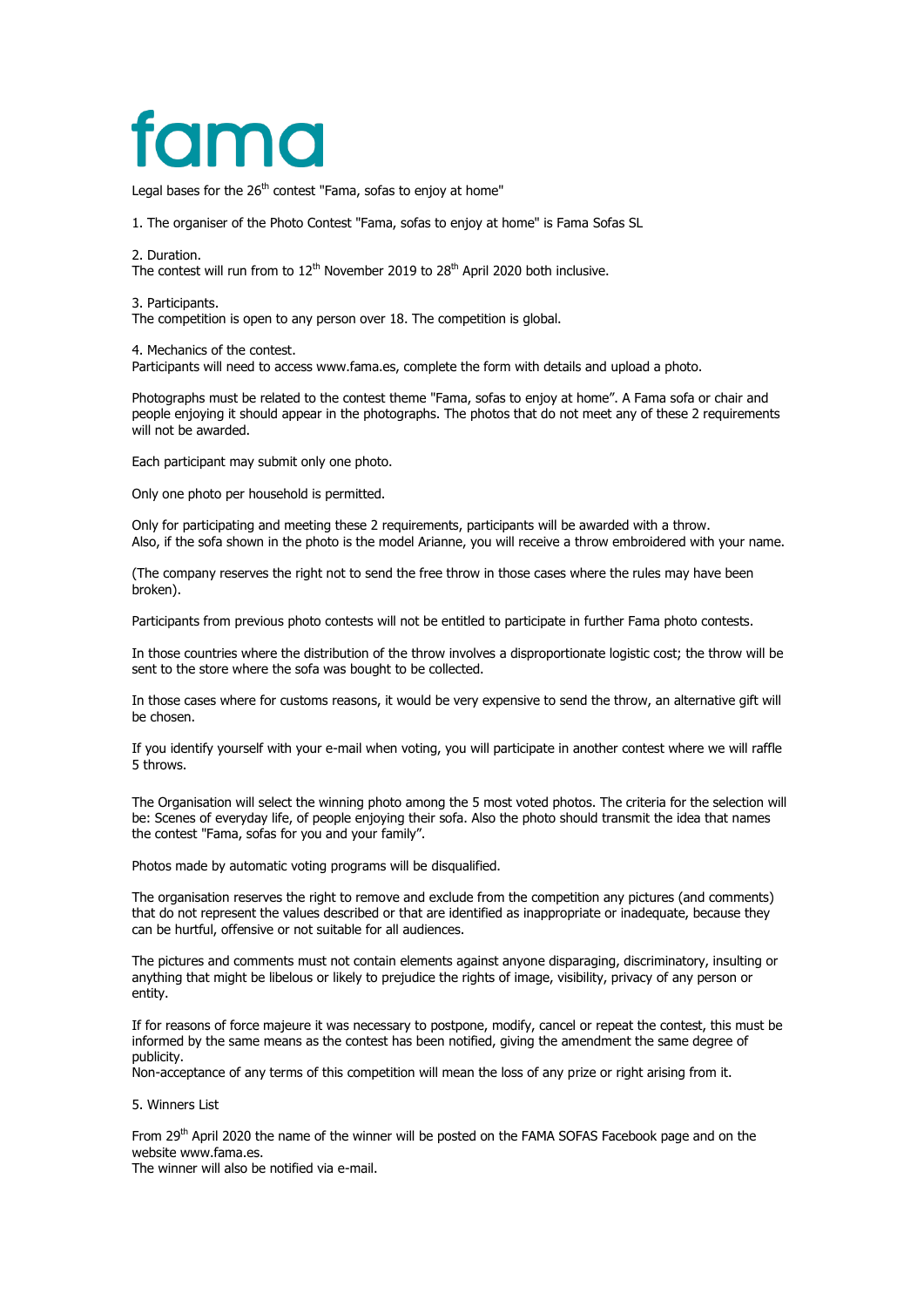# famo

Legal bases for the 26<sup>th</sup> contest "Fama, sofas to enjoy at home"

1. The organiser of the Photo Contest "Fama, sofas to enjoy at home" is Fama Sofas SL

2. Duration.

The contest will run from to  $12^{th}$  November 2019 to  $28^{th}$  April 2020 both inclusive.

3. Participants.

The competition is open to any person over 18. The competition is global.

4. Mechanics of the contest.

Participants will need to access www.fama.es, complete the form with details and upload a photo.

Photographs must be related to the contest theme "Fama, sofas to enjoy at home". A Fama sofa or chair and people enjoying it should appear in the photographs. The photos that do not meet any of these 2 requirements will not be awarded.

Each participant may submit only one photo.

Only one photo per household is permitted.

Only for participating and meeting these 2 requirements, participants will be awarded with a throw. Also, if the sofa shown in the photo is the model Arianne, you will receive a throw embroidered with your name.

(The company reserves the right not to send the free throw in those cases where the rules may have been broken).

Participants from previous photo contests will not be entitled to participate in further Fama photo contests.

In those countries where the distribution of the throw involves a disproportionate logistic cost; the throw will be sent to the store where the sofa was bought to be collected.

In those cases where for customs reasons, it would be very expensive to send the throw, an alternative gift will be chosen.

If you identify yourself with your e-mail when voting, you will participate in another contest where we will raffle 5 throws.

The Organisation will select the winning photo among the 5 most voted photos. The criteria for the selection will be: Scenes of everyday life, of people enjoying their sofa. Also the photo should transmit the idea that names the contest "Fama, sofas for you and your family".

Photos made by automatic voting programs will be disqualified.

The organisation reserves the right to remove and exclude from the competition any pictures (and comments) that do not represent the values described or that are identified as inappropriate or inadequate, because they can be hurtful, offensive or not suitable for all audiences.

The pictures and comments must not contain elements against anyone disparaging, discriminatory, insulting or anything that might be libelous or likely to prejudice the rights of image, visibility, privacy of any person or entity.

If for reasons of force majeure it was necessary to postpone, modify, cancel or repeat the contest, this must be informed by the same means as the contest has been notified, giving the amendment the same degree of publicity.

Non-acceptance of any terms of this competition will mean the loss of any prize or right arising from it.

5. Winners List

From 29th April 2020 the name of the winner will be posted on the FAMA SOFAS Facebook page and on the website www.fama.es

The winner will also be notified via e-mail.